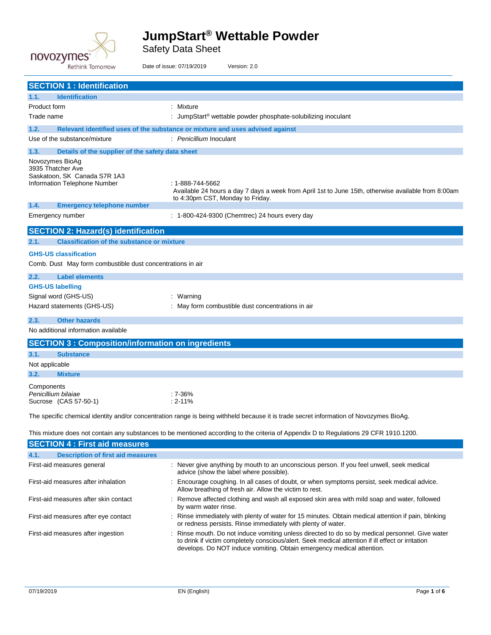

Safety Data Sheet

| <b>Rethink Tomorrow</b>                                                                                                                                                        | Date of issue: 07/19/2019<br>Version: 2.0                                                                                                                   |  |
|--------------------------------------------------------------------------------------------------------------------------------------------------------------------------------|-------------------------------------------------------------------------------------------------------------------------------------------------------------|--|
| <b>SECTION 1 : Identification</b>                                                                                                                                              |                                                                                                                                                             |  |
| <b>Identification</b><br>1.1.                                                                                                                                                  |                                                                                                                                                             |  |
| Product form                                                                                                                                                                   | : Mixture                                                                                                                                                   |  |
| Trade name                                                                                                                                                                     | : JumpStart <sup>®</sup> wettable powder phosphate-solubilizing inoculant                                                                                   |  |
| 1.2.                                                                                                                                                                           | Relevant identified uses of the substance or mixture and uses advised against                                                                               |  |
| Use of the substance/mixture                                                                                                                                                   | : Penicillium Inoculant                                                                                                                                     |  |
| 1.3.<br>Details of the supplier of the safety data sheet                                                                                                                       |                                                                                                                                                             |  |
| Novozymes BioAg<br>3935 Thatcher Ave<br>Saskatoon, SK Canada S7R 1A3<br>Information Telephone Number                                                                           | : 1-888-744-5662<br>Available 24 hours a day 7 days a week from April 1st to June 15th, otherwise available from 8:00am<br>to 4:30pm CST, Monday to Friday. |  |
| 1.4.<br><b>Emergency telephone number</b>                                                                                                                                      |                                                                                                                                                             |  |
| Emergency number                                                                                                                                                               | : 1-800-424-9300 (Chemtrec) 24 hours every day                                                                                                              |  |
| <b>SECTION 2: Hazard(s) identification</b>                                                                                                                                     |                                                                                                                                                             |  |
| <b>Classification of the substance or mixture</b><br>2.1.                                                                                                                      |                                                                                                                                                             |  |
| <b>GHS-US classification</b><br>Comb. Dust May form combustible dust concentrations in air                                                                                     |                                                                                                                                                             |  |
| 2.2.<br><b>Label elements</b>                                                                                                                                                  |                                                                                                                                                             |  |
| <b>GHS-US labelling</b><br>Signal word (GHS-US)<br>Hazard statements (GHS-US)                                                                                                  | : Warning<br>: May form combustible dust concentrations in air                                                                                              |  |
| <b>Other hazards</b><br>2.3.                                                                                                                                                   |                                                                                                                                                             |  |
| No additional information available                                                                                                                                            |                                                                                                                                                             |  |
| <b>SECTION 3: Composition/information on ingredients</b>                                                                                                                       |                                                                                                                                                             |  |
| 3.1.<br><b>Substance</b><br>Not applicable                                                                                                                                     |                                                                                                                                                             |  |
| 3.2.<br><b>Mixture</b>                                                                                                                                                         |                                                                                                                                                             |  |
| Components<br>Penicillium bilaiae<br>Sucrose (CAS 57-50-1)                                                                                                                     | $:7-36%$<br>$: 2 - 11\%$                                                                                                                                    |  |
| The specific chemical identity and/or concentration range is being withheld because it is trade secret information of Novozymes BioAg.                                         |                                                                                                                                                             |  |
| This mixture does not contain any substances to be mentioned according to the criteria of Appendix D to Regulations 29 CFR 1910.1200.<br><b>SECTION 4 : First aid measures</b> |                                                                                                                                                             |  |
| 4.1.<br><b>Description of first aid measures</b>                                                                                                                               |                                                                                                                                                             |  |
| First-aid measures general                                                                                                                                                     | : Never give anything by mouth to an unconscious person. If you feel unwell, seek medical<br>advice (show the label where possible).                        |  |
| First-aid measures after inhalation                                                                                                                                            | Encourage coughing. In all cases of doubt, or when symptoms persist, seek medical advice.<br>Allow breathing of fresh air. Allow the victim to rest.        |  |

First-aid measures after skin contact : Remove affected clothing and wash all exposed skin area with mild soap and water, followed by warm water rinse.

- First-aid measures after eye contact : Rinse immediately with plenty of water for 15 minutes. Obtain medical attention if pain, blinking or redness persists. Rinse immediately with plenty of water.
- First-aid measures after ingestion : Rinse mouth. Do not induce vomiting unless directed to do so by medical personnel. Give water to drink if victim completely conscious/alert. Seek medical attention if ill effect or irritation develops. Do NOT induce vomiting. Obtain emergency medical attention.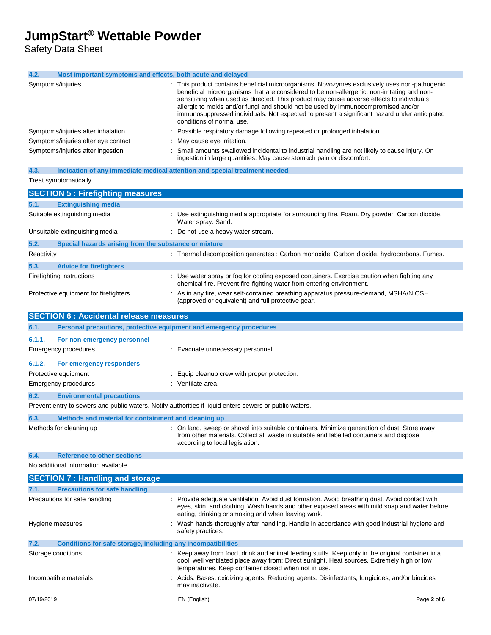Safety Data Sheet

| Most important symptoms and effects, both acute and delayed<br>4.2.                                     |                                                                                                                                                                                                                                                                                                                                                                                                                                                                                                           |  |
|---------------------------------------------------------------------------------------------------------|-----------------------------------------------------------------------------------------------------------------------------------------------------------------------------------------------------------------------------------------------------------------------------------------------------------------------------------------------------------------------------------------------------------------------------------------------------------------------------------------------------------|--|
| Symptoms/injuries                                                                                       | : This product contains beneficial microorganisms. Novozymes exclusively uses non-pathogenic<br>beneficial microorganisms that are considered to be non-allergenic, non-irritating and non-<br>sensitizing when used as directed. This product may cause adverse effects to individuals<br>allergic to molds and/or fungi and should not be used by immunocompromised and/or<br>immunosuppressed individuals. Not expected to present a significant hazard under anticipated<br>conditions of normal use. |  |
| Symptoms/injuries after inhalation                                                                      | Possible respiratory damage following repeated or prolonged inhalation.                                                                                                                                                                                                                                                                                                                                                                                                                                   |  |
| Symptoms/injuries after eye contact                                                                     | May cause eye irritation.                                                                                                                                                                                                                                                                                                                                                                                                                                                                                 |  |
| Symptoms/injuries after ingestion                                                                       | Small amounts swallowed incidental to industrial handling are not likely to cause injury. On<br>ingestion in large quantities: May cause stomach pain or discomfort.                                                                                                                                                                                                                                                                                                                                      |  |
| 4.3.<br>Indication of any immediate medical attention and special treatment needed                      |                                                                                                                                                                                                                                                                                                                                                                                                                                                                                                           |  |
| Treat symptomatically                                                                                   |                                                                                                                                                                                                                                                                                                                                                                                                                                                                                                           |  |
| <b>SECTION 5: Firefighting measures</b>                                                                 |                                                                                                                                                                                                                                                                                                                                                                                                                                                                                                           |  |
| <b>Extinguishing media</b><br>5.1.                                                                      |                                                                                                                                                                                                                                                                                                                                                                                                                                                                                                           |  |
| Suitable extinguishing media                                                                            | : Use extinguishing media appropriate for surrounding fire. Foam. Dry powder. Carbon dioxide.<br>Water spray. Sand.                                                                                                                                                                                                                                                                                                                                                                                       |  |
| Unsuitable extinguishing media                                                                          | : Do not use a heavy water stream.                                                                                                                                                                                                                                                                                                                                                                                                                                                                        |  |
| 5.2.<br>Special hazards arising from the substance or mixture                                           |                                                                                                                                                                                                                                                                                                                                                                                                                                                                                                           |  |
| Reactivity                                                                                              | : Thermal decomposition generates : Carbon monoxide. Carbon dioxide. hydrocarbons. Fumes.                                                                                                                                                                                                                                                                                                                                                                                                                 |  |
|                                                                                                         |                                                                                                                                                                                                                                                                                                                                                                                                                                                                                                           |  |
| 5.3.<br><b>Advice for firefighters</b>                                                                  |                                                                                                                                                                                                                                                                                                                                                                                                                                                                                                           |  |
| Firefighting instructions                                                                               | : Use water spray or fog for cooling exposed containers. Exercise caution when fighting any<br>chemical fire. Prevent fire-fighting water from entering environment.                                                                                                                                                                                                                                                                                                                                      |  |
| Protective equipment for firefighters                                                                   | : As in any fire, wear self-contained breathing apparatus pressure-demand, MSHA/NIOSH<br>(approved or equivalent) and full protective gear.                                                                                                                                                                                                                                                                                                                                                               |  |
| <b>SECTION 6 : Accidental release measures</b>                                                          |                                                                                                                                                                                                                                                                                                                                                                                                                                                                                                           |  |
| Personal precautions, protective equipment and emergency procedures<br>6.1.                             |                                                                                                                                                                                                                                                                                                                                                                                                                                                                                                           |  |
| 6.1.1.<br>For non-emergency personnel                                                                   |                                                                                                                                                                                                                                                                                                                                                                                                                                                                                                           |  |
| Emergency procedures                                                                                    | : Evacuate unnecessary personnel.                                                                                                                                                                                                                                                                                                                                                                                                                                                                         |  |
| 6.1.2.<br>For emergency responders                                                                      |                                                                                                                                                                                                                                                                                                                                                                                                                                                                                                           |  |
| Protective equipment                                                                                    | : Equip cleanup crew with proper protection.                                                                                                                                                                                                                                                                                                                                                                                                                                                              |  |
| Emergency procedures                                                                                    | : Ventilate area.                                                                                                                                                                                                                                                                                                                                                                                                                                                                                         |  |
| 6.2.<br><b>Environmental precautions</b>                                                                |                                                                                                                                                                                                                                                                                                                                                                                                                                                                                                           |  |
| Prevent entry to sewers and public waters. Notify authorities if liquid enters sewers or public waters. |                                                                                                                                                                                                                                                                                                                                                                                                                                                                                                           |  |
| 6.3.<br>Methods and material for containment and cleaning up                                            |                                                                                                                                                                                                                                                                                                                                                                                                                                                                                                           |  |
| Methods for cleaning up                                                                                 | On land, sweep or shovel into suitable containers. Minimize generation of dust. Store away<br>from other materials. Collect all waste in suitable and labelled containers and dispose<br>according to local legislation.                                                                                                                                                                                                                                                                                  |  |
| 6.4.<br><b>Reference to other sections</b>                                                              |                                                                                                                                                                                                                                                                                                                                                                                                                                                                                                           |  |
| No additional information available                                                                     |                                                                                                                                                                                                                                                                                                                                                                                                                                                                                                           |  |
| <b>SECTION 7: Handling and storage</b>                                                                  |                                                                                                                                                                                                                                                                                                                                                                                                                                                                                                           |  |
| 7.1.<br><b>Precautions for safe handling</b>                                                            |                                                                                                                                                                                                                                                                                                                                                                                                                                                                                                           |  |
| Precautions for safe handling                                                                           | Provide adequate ventilation. Avoid dust formation. Avoid breathing dust. Avoid contact with                                                                                                                                                                                                                                                                                                                                                                                                              |  |
|                                                                                                         | eyes, skin, and clothing. Wash hands and other exposed areas with mild soap and water before<br>eating, drinking or smoking and when leaving work.                                                                                                                                                                                                                                                                                                                                                        |  |
| Hygiene measures                                                                                        | Wash hands thoroughly after handling. Handle in accordance with good industrial hygiene and<br>safety practices.                                                                                                                                                                                                                                                                                                                                                                                          |  |
| Conditions for safe storage, including any incompatibilities<br>7.2.                                    |                                                                                                                                                                                                                                                                                                                                                                                                                                                                                                           |  |
| Storage conditions                                                                                      | : Keep away from food, drink and animal feeding stuffs. Keep only in the original container in a<br>cool, well ventilated place away from: Direct sunlight, Heat sources, Extremely high or low<br>temperatures. Keep container closed when not in use.                                                                                                                                                                                                                                                   |  |
| Incompatible materials                                                                                  | Acids. Bases. oxidizing agents. Reducing agents. Disinfectants, fungicides, and/or biocides<br>may inactivate.                                                                                                                                                                                                                                                                                                                                                                                            |  |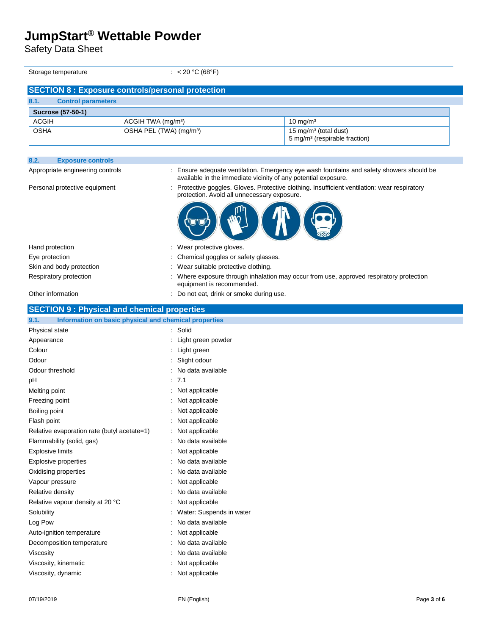Safety Data Sheet

Storage temperature : < 20 °C (68°F)

| <b>SECTION 8: Exposure controls/personal protection</b> |                           |                                     |                                                                                |  |
|---------------------------------------------------------|---------------------------|-------------------------------------|--------------------------------------------------------------------------------|--|
| 8.1.                                                    | <b>Control parameters</b> |                                     |                                                                                |  |
| <b>Sucrose (57-50-1)</b>                                |                           |                                     |                                                                                |  |
| <b>ACGIH</b>                                            |                           | ACGIH TWA (mg/m <sup>3</sup> )      | $10 \text{ mg/m}^3$                                                            |  |
| <b>OSHA</b>                                             |                           | OSHA PEL (TWA) (mg/m <sup>3</sup> ) | 15 mg/m <sup>3</sup> (total dust)<br>5 mg/m <sup>3</sup> (respirable fraction) |  |

| 8.2.<br><b>Exposure controls</b>                              |                                                                                                                                                            |  |
|---------------------------------------------------------------|------------------------------------------------------------------------------------------------------------------------------------------------------------|--|
| Appropriate engineering controls                              | : Ensure adequate ventilation. Emergency eye wash fountains and safety showers should be<br>available in the immediate vicinity of any potential exposure. |  |
| Personal protective equipment                                 | : Protective goggles. Gloves. Protective clothing. Insufficient ventilation: wear respiratory<br>protection. Avoid all unnecessary exposure.               |  |
|                                                               |                                                                                                                                                            |  |
| Hand protection                                               | : Wear protective gloves.                                                                                                                                  |  |
| Eye protection                                                | Chemical goggles or safety glasses.                                                                                                                        |  |
| Skin and body protection                                      | : Wear suitable protective clothing.                                                                                                                       |  |
| Respiratory protection                                        | : Where exposure through inhalation may occur from use, approved respiratory protection<br>equipment is recommended.                                       |  |
| Other information                                             | : Do not eat, drink or smoke during use.                                                                                                                   |  |
| <b>SECTION 9: Physical and chemical properties</b>            |                                                                                                                                                            |  |
| 9.1.<br>Information on basic physical and chemical properties |                                                                                                                                                            |  |
| Physical state                                                | : Solid                                                                                                                                                    |  |
| Appearance                                                    | : Light green powder                                                                                                                                       |  |
| Colour                                                        | : Light green                                                                                                                                              |  |
| Odour                                                         | : Slight odour                                                                                                                                             |  |
| Odour threshold                                               | No data available                                                                                                                                          |  |
| рH                                                            | : 7.1                                                                                                                                                      |  |
| Melting point                                                 | : Not applicable                                                                                                                                           |  |
| Freezing point                                                | : Not applicable                                                                                                                                           |  |
| Boiling point                                                 | : Not applicable                                                                                                                                           |  |
| Flash point                                                   | : Not applicable                                                                                                                                           |  |
| Relative evaporation rate (butyl acetate=1)                   | : Not applicable                                                                                                                                           |  |
| Flammability (solid, gas)                                     | : No data available                                                                                                                                        |  |
| <b>Explosive limits</b>                                       | : Not applicable                                                                                                                                           |  |
| Explosive properties                                          | No data available                                                                                                                                          |  |
| Oxidising properties                                          | No data available                                                                                                                                          |  |
| Vapour pressure                                               | : Not applicable                                                                                                                                           |  |
| Relative density                                              | : No data available                                                                                                                                        |  |
| Relative vapour density at 20 °C                              | : Not applicable                                                                                                                                           |  |
| Solubility                                                    | Water: Suspends in water                                                                                                                                   |  |
| Log Pow                                                       | No data available                                                                                                                                          |  |
| Auto-ignition temperature                                     | Not applicable                                                                                                                                             |  |

Decomposition temperature : No data available

Viscosity **Contract Contract Contract Contract Contract Contract Contract Contract Contract Contract Contract Contract Contract Contract Contract Contract Contract Contract Contract Contract Contract Contract Contract Cont** 

Viscosity, kinematic **intervalse in the Contract of Contract Contract Contract Contract Contract Contract Contract Contract Contract Contract Contract Contract Contract Contract Contract Contract Contract Contract Contract** 

Viscosity, dynamic **interest in the COVID-S**  $\sim$  Not applicable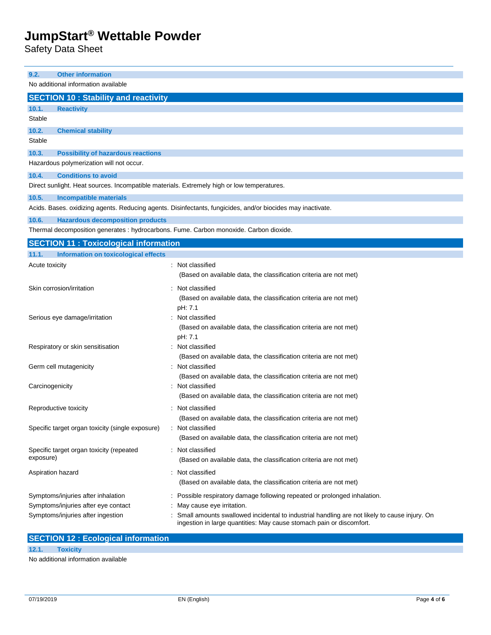Safety Data Sheet

| <b>Other information</b><br>9.2.                                                           |                                                                                                                           |  |  |  |
|--------------------------------------------------------------------------------------------|---------------------------------------------------------------------------------------------------------------------------|--|--|--|
| No additional information available                                                        |                                                                                                                           |  |  |  |
| <b>SECTION 10: Stability and reactivity</b>                                                |                                                                                                                           |  |  |  |
| 10.1.<br><b>Reactivity</b>                                                                 |                                                                                                                           |  |  |  |
| Stable                                                                                     |                                                                                                                           |  |  |  |
| 10.2.<br><b>Chemical stability</b>                                                         |                                                                                                                           |  |  |  |
| Stable                                                                                     |                                                                                                                           |  |  |  |
| 10.3.<br><b>Possibility of hazardous reactions</b>                                         |                                                                                                                           |  |  |  |
| Hazardous polymerization will not occur.                                                   |                                                                                                                           |  |  |  |
| 10.4.<br><b>Conditions to avoid</b>                                                        |                                                                                                                           |  |  |  |
| Direct sunlight. Heat sources. Incompatible materials. Extremely high or low temperatures. |                                                                                                                           |  |  |  |
| 10.5.<br><b>Incompatible materials</b>                                                     |                                                                                                                           |  |  |  |
|                                                                                            | Acids. Bases. oxidizing agents. Reducing agents. Disinfectants, fungicides, and/or biocides may inactivate.               |  |  |  |
| 10.6.<br><b>Hazardous decomposition products</b>                                           |                                                                                                                           |  |  |  |
| Thermal decomposition generates : hydrocarbons. Fume. Carbon monoxide. Carbon dioxide.     |                                                                                                                           |  |  |  |
| <b>SECTION 11 : Toxicological information</b>                                              |                                                                                                                           |  |  |  |
| <b>Information on toxicological effects</b><br>11.1.                                       |                                                                                                                           |  |  |  |
| Acute toxicity                                                                             | : Not classified                                                                                                          |  |  |  |
|                                                                                            | (Based on available data, the classification criteria are not met)                                                        |  |  |  |
| Skin corrosion/irritation                                                                  | : Not classified                                                                                                          |  |  |  |
|                                                                                            | (Based on available data, the classification criteria are not met)                                                        |  |  |  |
|                                                                                            | pH: 7.1                                                                                                                   |  |  |  |
| Serious eye damage/irritation                                                              | Not classified                                                                                                            |  |  |  |
|                                                                                            | (Based on available data, the classification criteria are not met)                                                        |  |  |  |
|                                                                                            | pH: 7.1                                                                                                                   |  |  |  |
| Respiratory or skin sensitisation                                                          | Not classified                                                                                                            |  |  |  |
| Germ cell mutagenicity                                                                     | (Based on available data, the classification criteria are not met)<br>Not classified                                      |  |  |  |
|                                                                                            | (Based on available data, the classification criteria are not met)                                                        |  |  |  |
| Carcinogenicity                                                                            | Not classified                                                                                                            |  |  |  |
|                                                                                            | (Based on available data, the classification criteria are not met)                                                        |  |  |  |
| Reproductive toxicity                                                                      | : Not classified                                                                                                          |  |  |  |
|                                                                                            | (Based on available data, the classification criteria are not met)                                                        |  |  |  |
| Specific target organ toxicity (single exposure)                                           | : Not classified                                                                                                          |  |  |  |
|                                                                                            | (Based on available data, the classification criteria are not met)                                                        |  |  |  |
| Specific target organ toxicity (repeated                                                   | : Not classified                                                                                                          |  |  |  |
| exposure)                                                                                  | (Based on available data, the classification criteria are not met)                                                        |  |  |  |
| Aspiration hazard                                                                          | : Not classified                                                                                                          |  |  |  |
|                                                                                            | (Based on available data, the classification criteria are not met)                                                        |  |  |  |
|                                                                                            |                                                                                                                           |  |  |  |
| Symptoms/injuries after inhalation                                                         | Possible respiratory damage following repeated or prolonged inhalation.                                                   |  |  |  |
| Symptoms/injuries after eye contact<br>Symptoms/injuries after ingestion                   | May cause eye irritation.<br>Small amounts swallowed incidental to industrial handling are not likely to cause injury. On |  |  |  |
|                                                                                            | ingestion in large quantities: May cause stomach pain or discomfort.                                                      |  |  |  |

**12.1. Toxicity**

No additional information available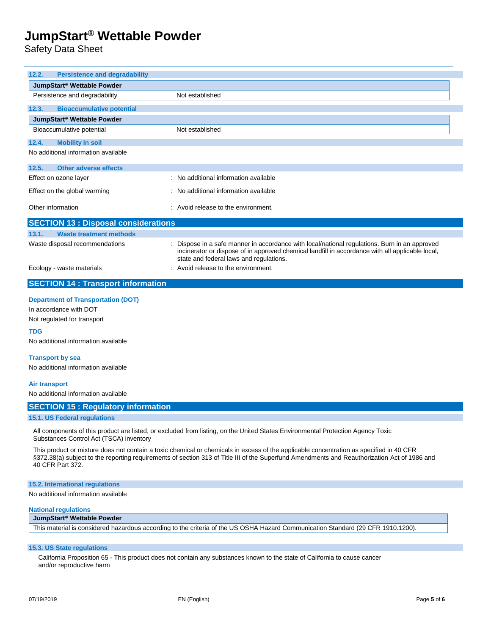Safety Data Sheet

| 12.2.<br><b>Persistence and degradability</b>                       |                                                                                                                                                                                                                                              |  |  |
|---------------------------------------------------------------------|----------------------------------------------------------------------------------------------------------------------------------------------------------------------------------------------------------------------------------------------|--|--|
| JumpStart <sup>®</sup> Wettable Powder                              |                                                                                                                                                                                                                                              |  |  |
| Persistence and degradability                                       | Not established                                                                                                                                                                                                                              |  |  |
| <b>Bioaccumulative potential</b><br>12.3.                           |                                                                                                                                                                                                                                              |  |  |
| JumpStart <sup>®</sup> Wettable Powder                              |                                                                                                                                                                                                                                              |  |  |
| Bioaccumulative potential                                           | Not established                                                                                                                                                                                                                              |  |  |
| <b>Mobility in soil</b><br>12.4.                                    |                                                                                                                                                                                                                                              |  |  |
| No additional information available                                 |                                                                                                                                                                                                                                              |  |  |
| Other adverse effects<br>12.5.                                      |                                                                                                                                                                                                                                              |  |  |
| Effect on ozone layer                                               | : No additional information available                                                                                                                                                                                                        |  |  |
| Effect on the global warming                                        | : No additional information available                                                                                                                                                                                                        |  |  |
| Other information<br>$\therefore$ Avoid release to the environment. |                                                                                                                                                                                                                                              |  |  |
| <b>SECTION 13 : Disposal considerations</b>                         |                                                                                                                                                                                                                                              |  |  |
| <b>Waste treatment methods</b><br>13.1.                             |                                                                                                                                                                                                                                              |  |  |
| Waste disposal recommendations                                      | : Dispose in a safe manner in accordance with local/national regulations. Burn in an approved<br>incinerator or dispose of in approved chemical landfill in accordance with all applicable local,<br>state and federal laws and regulations. |  |  |
| Ecology - waste materials                                           | : Avoid release to the environment.                                                                                                                                                                                                          |  |  |
| <b>SECTION 14 : Transport information</b>                           |                                                                                                                                                                                                                                              |  |  |

### **Department of Transportation (DOT)**

In accordance with DOT

Not regulated for transport

#### **TDG**

No additional information available

#### **Transport by sea**

No additional information available

#### **Air transport**

No additional information available

#### **SECTION 15 : Regulatory information**

#### **15.1. US Federal regulations**

All components of this product are listed, or excluded from listing, on the United States Environmental Protection Agency Toxic Substances Control Act (TSCA) inventory

This product or mixture does not contain a toxic chemical or chemicals in excess of the applicable concentration as specified in 40 CFR §372.38(a) subject to the reporting requirements of section 313 of Title III of the Superfund Amendments and Reauthorization Act of 1986 and 40 CFR Part 372.

#### **15.2. International regulations**

No additional information available

#### **National regulations**

#### **JumpStart® Wettable Powder**

This material is considered hazardous according to the criteria of the US OSHA Hazard Communication Standard (29 CFR 1910.1200).

### **15.3. US State regulations**

California Proposition 65 - This product does not contain any substances known to the state of California to cause cancer and/or reproductive harm